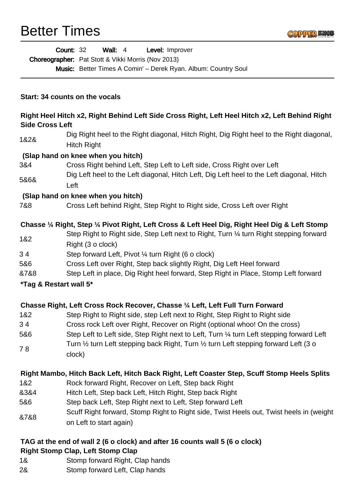## Better Times



|                                                                                                                                                            | <b>Count: 32</b><br>Wall: $4$<br>Level: Improver                                                             |
|------------------------------------------------------------------------------------------------------------------------------------------------------------|--------------------------------------------------------------------------------------------------------------|
|                                                                                                                                                            | <b>Choreographer:</b> Pat Stott & Vikki Morris (Nov 2013)                                                    |
|                                                                                                                                                            | Music: Better Times A Comin' - Derek Ryan. Album: Country Soul                                               |
| Start: 34 counts on the vocals<br>Right Heel Hitch x2, Right Behind Left Side Cross Right, Left Heel Hitch x2, Left Behind Right<br><b>Side Cross Left</b> |                                                                                                              |
|                                                                                                                                                            |                                                                                                              |
|                                                                                                                                                            | (Slap hand on knee when you hitch)                                                                           |
| 3&4                                                                                                                                                        | Cross Right behind Left, Step Left to Left side, Cross Right over Left                                       |
| 5&6&                                                                                                                                                       | Dig Left heel to the Left diagonal, Hitch Left, Dig Left heel to the Left diagonal, Hitch<br>Left            |
|                                                                                                                                                            | (Slap hand on knee when you hitch)                                                                           |
| 7&8                                                                                                                                                        | Cross Left behind Right, Step Right to Right side, Cross Left over Right                                     |
|                                                                                                                                                            | Chasse 1/4 Right, Step 1/4 Pivot Right, Left Cross & Left Heel Dig, Right Heel Dig & Left Stomp              |
| 1&2                                                                                                                                                        | Step Right to Right side, Step Left next to Right, Turn 1/4 turn Right stepping forward<br>Right (3 o clock) |
| 34                                                                                                                                                         | Step forward Left, Pivot ¼ turn Right (6 o clock)                                                            |
| 5&6                                                                                                                                                        | Cross Left over Right, Step back slightly Right, Dig Left Heel forward                                       |
| &7&8                                                                                                                                                       | Step Left in place, Dig Right heel forward, Step Right in Place, Stomp Left forward                          |
| *Tag & Restart wall 5*                                                                                                                                     |                                                                                                              |
| Chasse Right, Left Cross Rock Recover, Chasse 1/4 Left, Left Full Turn Forward                                                                             |                                                                                                              |
| 1&2                                                                                                                                                        | Step Right to Right side, step Left next to Right, Step Right to Right side                                  |
| 34                                                                                                                                                         | Cross rock Left over Right, Recover on Right (optional whoo! On the cross)                                   |
| 5&6                                                                                                                                                        | Step Left to Left side, Step Right next to Left, Turn 1/4 turn Left stepping forward Left                    |
| 78                                                                                                                                                         | Turn 1/2 turn Left stepping back Right, Turn 1/2 turn Left stepping forward Left (3 o<br>clock)              |
|                                                                                                                                                            | Right Mambo, Hitch Back Left, Hitch Back Right, Left Coaster Step, Scuff Stomp Heels Splits                  |
| 1&2                                                                                                                                                        | Rock forward Right, Recover on Left, Step back Right                                                         |
| 8384                                                                                                                                                       | Hitch Left, Step back Left, Hitch Right, Step back Right                                                     |
| 5&6                                                                                                                                                        | Step back Left, Step Right next to Left, Step forward Left                                                   |

&7&8 Scuff Right forward, Stomp Right to Right side, Twist Heels out, Twist heels in (weight on Left to start again)

## **TAG at the end of wall 2 (6 o clock) and after 16 counts wall 5 (6 o clock) Right Stomp Clap, Left Stomp Clap**

- 1& Stomp forward Right, Clap hands
- 2& Stomp forward Left, Clap hands